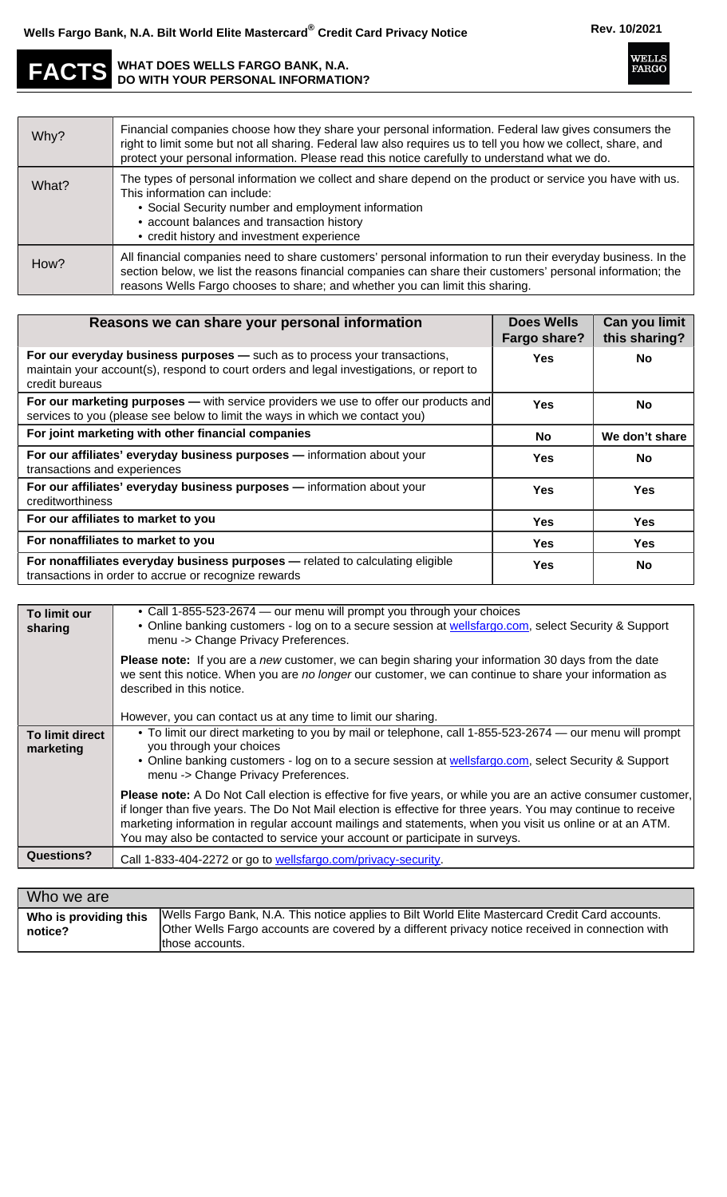**WELLS**<br>FARGO

## **FACTS WHAT DOES WELLS FARGO BANK, N.A. DO WITH YOUR PERSONAL INFORMATION?**

| Why?  | Financial companies choose how they share your personal information. Federal law gives consumers the<br>right to limit some but not all sharing. Federal law also requires us to tell you how we collect, share, and<br>protect your personal information. Please read this notice carefully to understand what we do. |
|-------|------------------------------------------------------------------------------------------------------------------------------------------------------------------------------------------------------------------------------------------------------------------------------------------------------------------------|
| What? | The types of personal information we collect and share depend on the product or service you have with us.<br>This information can include:<br>• Social Security number and employment information<br>• account balances and transaction history<br>• credit history and investment experience                          |
| How?  | All financial companies need to share customers' personal information to run their everyday business. In the<br>section below, we list the reasons financial companies can share their customers' personal information; the<br>reasons Wells Fargo chooses to share; and whether you can limit this sharing.           |

| Reasons we can share your personal information                                                                                                                                           | <b>Does Wells</b><br>Fargo share? | Can you limit<br>this sharing? |
|------------------------------------------------------------------------------------------------------------------------------------------------------------------------------------------|-----------------------------------|--------------------------------|
| For our everyday business purposes - such as to process your transactions,<br>maintain your account(s), respond to court orders and legal investigations, or report to<br>credit bureaus | Yes                               | No.                            |
| <b>For our marketing purposes —</b> with service providers we use to offer our products and<br>services to you (please see below to limit the ways in which we contact you)              | Yes                               | <b>No</b>                      |
| For joint marketing with other financial companies                                                                                                                                       | No.                               | We don't share                 |
| For our affiliates' everyday business purposes - information about your<br>transactions and experiences                                                                                  | Yes                               | No.                            |
| For our affiliates' everyday business purposes - information about your<br>creditworthiness                                                                                              | Yes                               | <b>Yes</b>                     |
| For our affiliates to market to you                                                                                                                                                      | Yes                               | <b>Yes</b>                     |
| For nonaffiliates to market to you                                                                                                                                                       | Yes                               | <b>Yes</b>                     |
| For nonaffiliates everyday business purposes - related to calculating eligible<br>transactions in order to accrue or recognize rewards                                                   | Yes                               | <b>No</b>                      |

| To limit our<br>sharing      | • Call 1-855-523-2674 — our menu will prompt you through your choices<br>• Online banking customers - log on to a secure session at wellsfargo.com, select Security & Support<br>menu -> Change Privacy Preferences.                                                                                                                                                                                                        |
|------------------------------|-----------------------------------------------------------------------------------------------------------------------------------------------------------------------------------------------------------------------------------------------------------------------------------------------------------------------------------------------------------------------------------------------------------------------------|
|                              | <b>Please note:</b> If you are a new customer, we can begin sharing your information 30 days from the date<br>we sent this notice. When you are no longer our customer, we can continue to share your information as<br>described in this notice.                                                                                                                                                                           |
|                              | However, you can contact us at any time to limit our sharing.                                                                                                                                                                                                                                                                                                                                                               |
| To limit direct<br>marketing | . To limit our direct marketing to you by mail or telephone, call 1-855-523-2674 — our menu will prompt<br>you through your choices<br>• Online banking customers - log on to a secure session at wellsfargo.com, select Security & Support<br>menu -> Change Privacy Preferences.                                                                                                                                          |
|                              | Please note: A Do Not Call election is effective for five years, or while you are an active consumer customer,<br>if longer than five years. The Do Not Mail election is effective for three years. You may continue to receive<br>marketing information in regular account mailings and statements, when you visit us online or at an ATM.<br>You may also be contacted to service your account or participate in surveys. |
| <b>Questions?</b>            | Call 1-833-404-2272 or go to wellsfargo.com/privacy-security.                                                                                                                                                                                                                                                                                                                                                               |

| Who we are                       |                                                                                                                                                                                                                        |
|----------------------------------|------------------------------------------------------------------------------------------------------------------------------------------------------------------------------------------------------------------------|
| Who is providing this<br>notice? | Wells Fargo Bank, N.A. This notice applies to Bilt World Elite Mastercard Credit Card accounts.<br>Other Wells Fargo accounts are covered by a different privacy notice received in connection with<br>those accounts. |